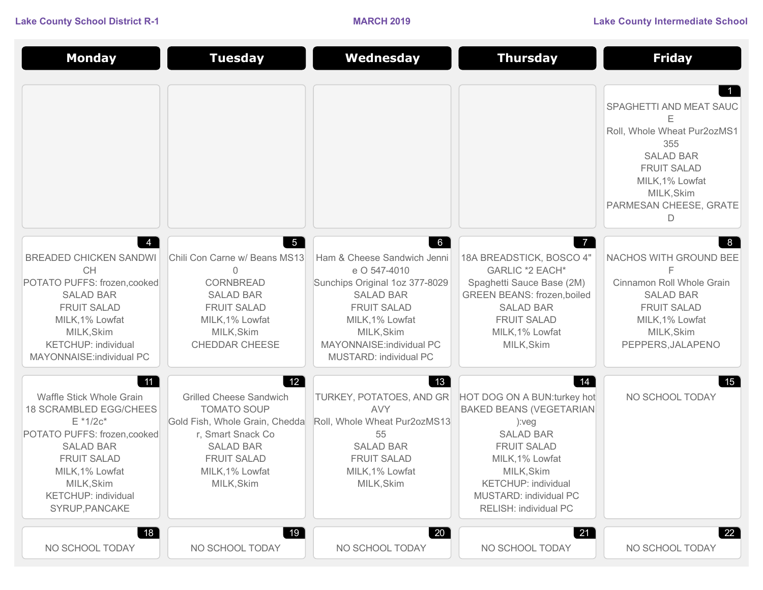| <b>Monday</b>                                                                                                                                                                                                                             | <b>Tuesday</b>                                                                                                                                                                                                               | Wednesday                                                                                                                                                                                                                          | <b>Thursday</b>                                                                                                                                                                                                                            | <b>Friday</b>                                                                                                                                                                |
|-------------------------------------------------------------------------------------------------------------------------------------------------------------------------------------------------------------------------------------------|------------------------------------------------------------------------------------------------------------------------------------------------------------------------------------------------------------------------------|------------------------------------------------------------------------------------------------------------------------------------------------------------------------------------------------------------------------------------|--------------------------------------------------------------------------------------------------------------------------------------------------------------------------------------------------------------------------------------------|------------------------------------------------------------------------------------------------------------------------------------------------------------------------------|
|                                                                                                                                                                                                                                           |                                                                                                                                                                                                                              |                                                                                                                                                                                                                                    |                                                                                                                                                                                                                                            | SPAGHETTI AND MEAT SAUC<br>Е<br>Roll, Whole Wheat Pur2ozMS1<br>355<br><b>SALAD BAR</b><br><b>FRUIT SALAD</b><br>MILK, 1% Lowfat<br>MILK, Skim<br>PARMESAN CHEESE, GRATE<br>D |
| $\overline{4}$<br><b>BREADED CHICKEN SANDWI</b><br><b>CH</b><br>POTATO PUFFS: frozen, cooked<br><b>SALAD BAR</b><br><b>FRUIT SALAD</b><br>MILK, 1% Lowfat<br>MILK, Skim<br><b>KETCHUP: individual</b><br>MAYONNAISE: individual PC        | $5\overline{)}$<br>Chili Con Carne w/ Beans MS13<br>0<br>CORNBREAD<br><b>SALAD BAR</b><br><b>FRUIT SALAD</b><br>MILK, 1% Lowfat<br>MILK, Skim<br>CHEDDAR CHEESE                                                              | $6\overline{6}$<br>Ham & Cheese Sandwich Jenni<br>e O 547-4010<br>Sunchips Original 1oz 377-8029<br><b>SALAD BAR</b><br><b>FRUIT SALAD</b><br>MILK, 1% Lowfat<br>MILK, Skim<br>MAYONNAISE: individual PC<br>MUSTARD: individual PC | $\overline{7}$<br>18A BREADSTICK, BOSCO 4"<br>GARLIC *2 EACH*<br>Spaghetti Sauce Base (2M)<br><b>GREEN BEANS: frozen, boiled</b><br><b>SALAD BAR</b><br><b>FRUIT SALAD</b><br>MILK, 1% Lowfat<br>MILK, Skim                                | 8<br>NACHOS WITH GROUND BEE<br>F<br>Cinnamon Roll Whole Grain<br><b>SALAD BAR</b><br><b>FRUIT SALAD</b><br>MILK, 1% Lowfat<br>MILK, Skim<br>PEPPERS, JALAPENO                |
| 11<br>Waffle Stick Whole Grain<br><b>18 SCRAMBLED EGG/CHEES</b><br>$E * 1/2c*$<br>POTATO PUFFS: frozen, cooked<br><b>SALAD BAR</b><br><b>FRUIT SALAD</b><br>MILK, 1% Lowfat<br>MILK, Skim<br><b>KETCHUP: individual</b><br>SYRUP, PANCAKE | $\begin{bmatrix} 12 \end{bmatrix}$<br><b>Grilled Cheese Sandwich</b><br><b>TOMATO SOUP</b><br>Gold Fish, Whole Grain, Chedda<br>r, Smart Snack Co<br><b>SALAD BAR</b><br><b>FRUIT SALAD</b><br>MILK, 1% Lowfat<br>MILK, Skim | 13<br>TURKEY, POTATOES, AND GR<br><b>AVY</b><br>Roll, Whole Wheat Pur2ozMS13<br>55<br><b>SALAD BAR</b><br><b>FRUIT SALAD</b><br>MILK, 1% Lowfat<br>MILK, Skim                                                                      | 14 <br>HOT DOG ON A BUN: turkey hot<br><b>BAKED BEANS (VEGETARIAN</b><br>):veg<br><b>SALAD BAR</b><br><b>FRUIT SALAD</b><br>MILK, 1% Lowfat<br>MILK, Skim<br><b>KETCHUP: individual</b><br>MUSTARD: individual PC<br>RELISH: individual PC | 15 <br>NO SCHOOL TODAY                                                                                                                                                       |
| 18 <sup>7</sup><br>NO SCHOOL TODAY                                                                                                                                                                                                        | 19<br>NO SCHOOL TODAY                                                                                                                                                                                                        | 20<br>NO SCHOOL TODAY                                                                                                                                                                                                              | 21<br>NO SCHOOL TODAY                                                                                                                                                                                                                      | 22<br>NO SCHOOL TODAY                                                                                                                                                        |